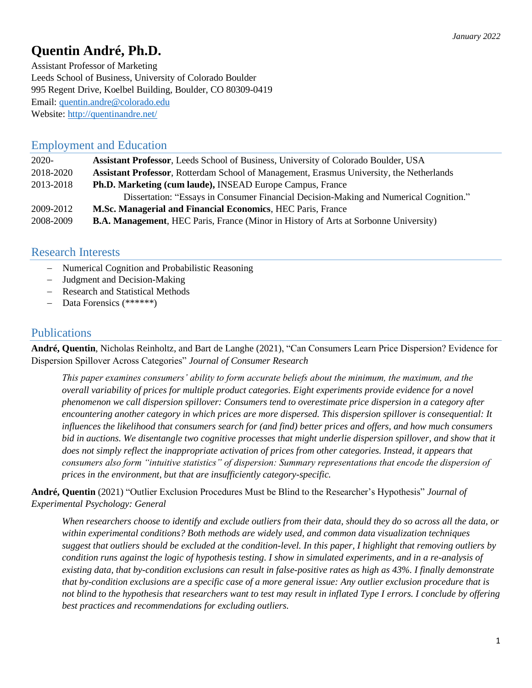# **Quentin André, Ph.D.**

Assistant Professor of Marketing Leeds School of Business, University of Colorado Boulder 995 Regent Drive, Koelbel Building, Boulder, CO 80309-0419 Email: [quentin.andre@colorado.edu](mailto:quentin.andre@colorado.edu) Website:<http://quentinandre.net/>

# Employment and Education

| $2020 -$  | Assistant Professor, Leeds School of Business, University of Colorado Boulder, USA              |
|-----------|-------------------------------------------------------------------------------------------------|
| 2018-2020 | <b>Assistant Professor, Rotterdam School of Management, Erasmus University, the Netherlands</b> |
| 2013-2018 | <b>Ph.D. Marketing (cum laude), INSEAD Europe Campus, France</b>                                |
|           | Dissertation: "Essays in Consumer Financial Decision-Making and Numerical Cognition."           |
| 2009-2012 | <b>M.Sc. Managerial and Financial Economics, HEC Paris, France</b>                              |
| 2008-2009 | <b>B.A. Management, HEC Paris, France (Minor in History of Arts at Sorbonne University)</b>     |

# Research Interests

- − Numerical Cognition and Probabilistic Reasoning
- − Judgment and Decision-Making
- − Research and Statistical Methods
- − Data Forensics (\*\*\*\*\*\*)

# **Publications**

**André, Quentin**, Nicholas Reinholtz, and Bart de Langhe (2021), "Can Consumers Learn Price Dispersion? Evidence for Dispersion Spillover Across Categories" *Journal of Consumer Research*

*This paper examines consumers' ability to form accurate beliefs about the minimum, the maximum, and the overall variability of prices for multiple product categories. Eight experiments provide evidence for a novel phenomenon we call dispersion spillover: Consumers tend to overestimate price dispersion in a category after encountering another category in which prices are more dispersed. This dispersion spillover is consequential: It influences the likelihood that consumers search for (and find) better prices and offers, and how much consumers bid in auctions. We disentangle two cognitive processes that might underlie dispersion spillover, and show that it does not simply reflect the inappropriate activation of prices from other categories. Instead, it appears that consumers also form "intuitive statistics" of dispersion: Summary representations that encode the dispersion of prices in the environment, but that are insufficiently category-specific.*

**André, Quentin** (2021) "Outlier Exclusion Procedures Must be Blind to the Researcher's Hypothesis" *Journal of Experimental Psychology: General*

*When researchers choose to identify and exclude outliers from their data, should they do so across all the data, or within experimental conditions? Both methods are widely used, and common data visualization techniques suggest that outliers should be excluded at the condition-level. In this paper, I highlight that removing outliers by condition runs against the logic of hypothesis testing. I show in simulated experiments, and in a re-analysis of existing data, that by-condition exclusions can result in false-positive rates as high as 43%. I finally demonstrate that by-condition exclusions are a specific case of a more general issue: Any outlier exclusion procedure that is not blind to the hypothesis that researchers want to test may result in inflated Type I errors. I conclude by offering best practices and recommendations for excluding outliers.*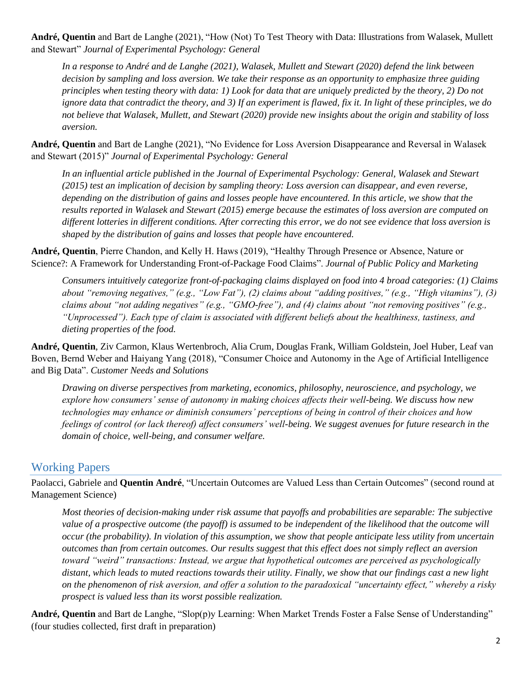**André, Quentin** and Bart de Langhe (2021), "How (Not) To Test Theory with Data: Illustrations from Walasek, Mullett and Stewart" *Journal of Experimental Psychology: General*

*In a response to André and de Langhe (2021), Walasek, Mullett and Stewart (2020) defend the link between decision by sampling and loss aversion. We take their response as an opportunity to emphasize three guiding principles when testing theory with data: 1) Look for data that are uniquely predicted by the theory, 2) Do not ignore data that contradict the theory, and 3) If an experiment is flawed, fix it. In light of these principles, we do not believe that Walasek, Mullett, and Stewart (2020) provide new insights about the origin and stability of loss aversion.* 

**André, Quentin** and Bart de Langhe (2021), "No Evidence for Loss Aversion Disappearance and Reversal in Walasek and Stewart (2015)" *Journal of Experimental Psychology: General*

*In an influential article published in the Journal of Experimental Psychology: General, Walasek and Stewart (2015) test an implication of decision by sampling theory: Loss aversion can disappear, and even reverse, depending on the distribution of gains and losses people have encountered. In this article, we show that the results reported in Walasek and Stewart (2015) emerge because the estimates of loss aversion are computed on different lotteries in different conditions. After correcting this error, we do not see evidence that loss aversion is shaped by the distribution of gains and losses that people have encountered.*

**André, Quentin**, Pierre Chandon, and Kelly H. Haws (2019), "Healthy Through Presence or Absence, Nature or Science?: A Framework for Understanding Front-of-Package Food Claims". *Journal of Public Policy and Marketing*

*Consumers intuitively categorize front-of-packaging claims displayed on food into 4 broad categories: (1) Claims about "removing negatives," (e.g., "Low Fat"), (2) claims about "adding positives," (e.g., "High vitamins"), (3) claims about "not adding negatives" (e.g., "GMO-free"), and (4) claims about "not removing positives" (e.g., "Unprocessed"). Each type of claim is associated with different beliefs about the healthiness, tastiness, and dieting properties of the food.*

**André, Quentin**, Ziv Carmon, Klaus Wertenbroch, Alia Crum, Douglas Frank, William Goldstein, Joel Huber, Leaf van Boven, Bernd Weber and Haiyang Yang (2018), "Consumer Choice and Autonomy in the Age of Artificial Intelligence and Big Data". *Customer Needs and Solutions*

*Drawing on diverse perspectives from marketing, economics, philosophy, neuroscience, and psychology, we explore how consumers' sense of autonomy in making choices affects their well-being. We discuss how new technologies may enhance or diminish consumers' perceptions of being in control of their choices and how feelings of control (or lack thereof) affect consumers' well-being. We suggest avenues for future research in the domain of choice, well-being, and consumer welfare.*

# Working Papers

Paolacci, Gabriele and **Quentin André**, "Uncertain Outcomes are Valued Less than Certain Outcomes" (second round at Management Science)

*Most theories of decision-making under risk assume that payoffs and probabilities are separable: The subjective value of a prospective outcome (the payoff) is assumed to be independent of the likelihood that the outcome will occur (the probability). In violation of this assumption, we show that people anticipate less utility from uncertain outcomes than from certain outcomes. Our results suggest that this effect does not simply reflect an aversion toward "weird" transactions: Instead, we argue that hypothetical outcomes are perceived as psychologically distant, which leads to muted reactions towards their utility. Finally, we show that our findings cast a new light on the phenomenon of risk aversion, and offer a solution to the paradoxical "uncertainty effect," whereby a risky prospect is valued less than its worst possible realization.*

**André, Quentin** and Bart de Langhe, "Slop(p)y Learning: When Market Trends Foster a False Sense of Understanding" (four studies collected, first draft in preparation)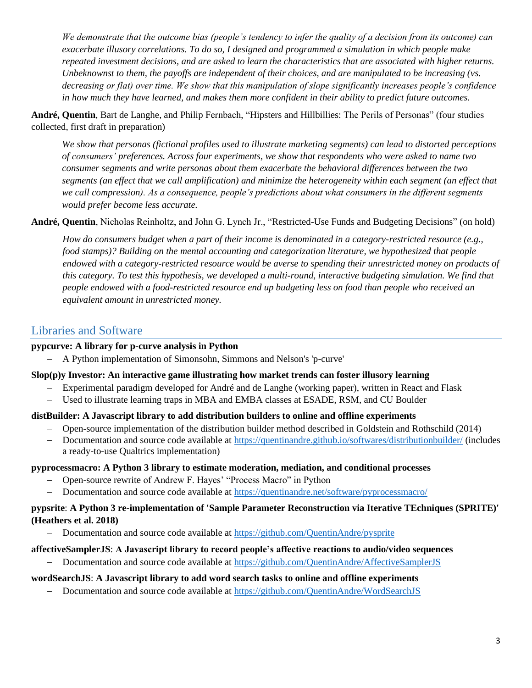*We demonstrate that the outcome bias (people's tendency to infer the quality of a decision from its outcome) can exacerbate illusory correlations. To do so, I designed and programmed a simulation in which people make repeated investment decisions, and are asked to learn the characteristics that are associated with higher returns. Unbeknownst to them, the payoffs are independent of their choices, and are manipulated to be increasing (vs. decreasing or flat) over time. We show that this manipulation of slope significantly increases people's confidence in how much they have learned, and makes them more confident in their ability to predict future outcomes.*

**André, Quentin**, Bart de Langhe, and Philip Fernbach, "Hipsters and Hillbillies: The Perils of Personas" (four studies collected, first draft in preparation)

*We show that personas (fictional profiles used to illustrate marketing segments) can lead to distorted perceptions of consumers' preferences. Across four experiments, we show that respondents who were asked to name two consumer segments and write personas about them exacerbate the behavioral differences between the two segments (an effect that we call amplification) and minimize the heterogeneity within each segment (an effect that*  we call compression). As a consequence, people's predictions about what consumers in the different segments *would prefer become less accurate.*

**André, Quentin**, Nicholas Reinholtz, and John G. Lynch Jr., "Restricted-Use Funds and Budgeting Decisions" (on hold)

*How do consumers budget when a part of their income is denominated in a category-restricted resource (e.g., food stamps)? Building on the mental accounting and categorization literature, we hypothesized that people endowed with a category-restricted resource would be averse to spending their unrestricted money on products of this category. To test this hypothesis, we developed a multi-round, interactive budgeting simulation. We find that people endowed with a food-restricted resource end up budgeting less on food than people who received an equivalent amount in unrestricted money.*

# Libraries and Software

#### **pypcurve: A library for p-curve analysis in Python**

− A Python implementation of Simonsohn, Simmons and Nelson's 'p-curve'

#### **Slop(p)y Investor: An interactive game illustrating how market trends can foster illusory learning**

- Experimental paradigm developed for André and de Langhe (working paper), written in React and Flask
- − Used to illustrate learning traps in MBA and EMBA classes at ESADE, RSM, and CU Boulder

#### **distBuilder: A Javascript library to add distribution builders to online and offline experiments**

- − Open-source implementation of the distribution builder method described in Goldstein and Rothschild (2014)
- − Documentation and source code available at<https://quentinandre.github.io/softwares/distributionbuilder/> (includes a ready-to-use Qualtrics implementation)

#### **pyprocessmacro: A Python 3 library to estimate moderation, mediation, and conditional processes**

- − Open-source rewrite of Andrew F. Hayes' "Process Macro" in Python
- Documentation and source code available at<https://quentinandre.net/software/pyprocessmacro/>

#### **pypsrite**: **A Python 3 re-implementation of 'Sample Parameter Reconstruction via Iterative TEchniques (SPRITE)' (Heathers et al. 2018)**

− Documentation and source code available at<https://github.com/QuentinAndre/pysprite>

#### **affectiveSamplerJS**: **A Javascript library to record people's affective reactions to audio/video sequences**

− Documentation and source code available at<https://github.com/QuentinAndre/AffectiveSamplerJS>

## **wordSearchJS**: **A Javascript library to add word search tasks to online and offline experiments**

− Documentation and source code available at<https://github.com/QuentinAndre/WordSearchJS>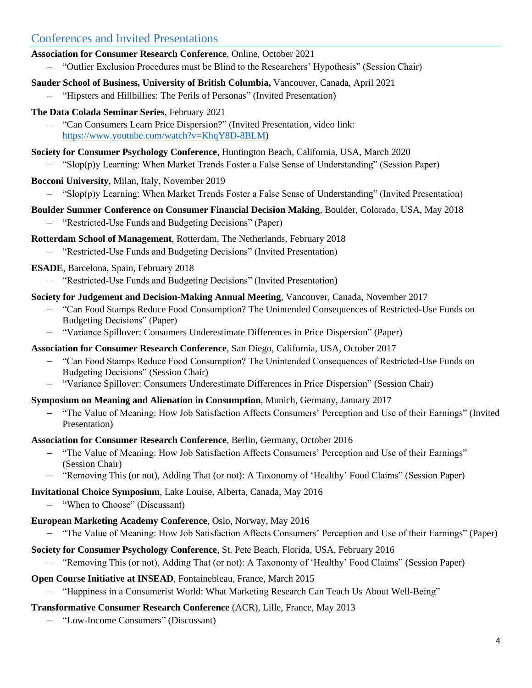# Conferences and Invited Presentations

- **Association for Consumer Research Conference**, Online, October 2021
	- − "Outlier Exclusion Procedures must be Blind to the Researchers' Hypothesis" (Session Chair)

## **Sauder School of Business, University of British Columbia,** Vancouver, Canada, April 2021

- − "Hipsters and Hillbillies: The Perils of Personas" (Invited Presentation)
- **The Data Colada Seminar Series**, February 2021
	- − "Can Consumers Learn Price Dispersion?" (Invited Presentation, video link: [https://www.youtube.com/watch?v=KhqY8D-8BLM\)](https://www.youtube.com/watch?v=KhqY8D-8BLM)
- **Society for Consumer Psychology Conference**, Huntington Beach, California, USA, March 2020
	- − "Slop(p)y Learning: When Market Trends Foster a False Sense of Understanding" (Session Paper)

## **Bocconi University**, Milan, Italy, November 2019

− "Slop(p)y Learning: When Market Trends Foster a False Sense of Understanding" (Invited Presentation)

## **Boulder Summer Conference on Consumer Financial Decision Making**, Boulder, Colorado, USA, May 2018

− "Restricted-Use Funds and Budgeting Decisions" (Paper)

#### **Rotterdam School of Management**, Rotterdam, The Netherlands, February 2018

− "Restricted-Use Funds and Budgeting Decisions" (Invited Presentation)

## **ESADE**, Barcelona, Spain, February 2018

− "Restricted-Use Funds and Budgeting Decisions" (Invited Presentation)

#### **Society for Judgement and Decision-Making Annual Meeting**, Vancouver, Canada, November 2017

- − "Can Food Stamps Reduce Food Consumption? The Unintended Consequences of Restricted-Use Funds on Budgeting Decisions" (Paper)
- − "Variance Spillover: Consumers Underestimate Differences in Price Dispersion" (Paper)

## **Association for Consumer Research Conference**, San Diego, California, USA, October 2017

- − "Can Food Stamps Reduce Food Consumption? The Unintended Consequences of Restricted-Use Funds on Budgeting Decisions" (Session Chair)
- − "Variance Spillover: Consumers Underestimate Differences in Price Dispersion" (Session Chair)

## **Symposium on Meaning and Alienation in Consumption**, Munich, Germany, January 2017

− "The Value of Meaning: How Job Satisfaction Affects Consumers' Perception and Use of their Earnings" (Invited Presentation)

## **Association for Consumer Research Conference**, Berlin, Germany, October 2016

- − "The Value of Meaning: How Job Satisfaction Affects Consumers' Perception and Use of their Earnings" (Session Chair)
- − "Removing This (or not), Adding That (or not): A Taxonomy of 'Healthy' Food Claims" (Session Paper)

## **Invitational Choice Symposium**, Lake Louise, Alberta, Canada, May 2016

− "When to Choose" (Discussant)

## **European Marketing Academy Conference**, Oslo, Norway, May 2016

− "The Value of Meaning: How Job Satisfaction Affects Consumers' Perception and Use of their Earnings" (Paper)

## **Society for Consumer Psychology Conference**, St. Pete Beach, Florida, USA, February 2016

− "Removing This (or not), Adding That (or not): A Taxonomy of 'Healthy' Food Claims" (Session Paper)

## **Open Course Initiative at INSEAD**, Fontainebleau, France, March 2015

− "Happiness in a Consumerist World: What Marketing Research Can Teach Us About Well-Being"

## **Transformative Consumer Research Conference** (ACR), Lille, France, May 2013

− "Low-Income Consumers" (Discussant)